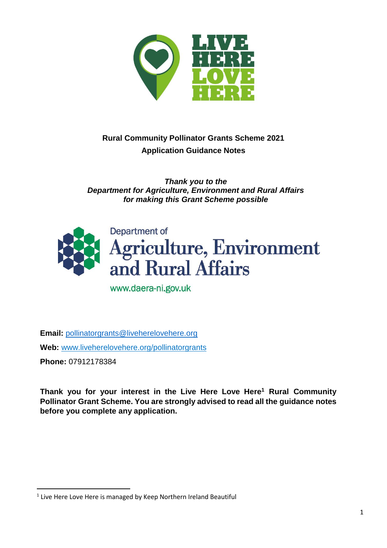

# **Rural Community Pollinator Grants Scheme 2021 Application Guidance Notes**

*Thank you to the Department for Agriculture, Environment and Rural Affairs for making this Grant Scheme possible*



www.daera-ni.gov.uk

**Email:** [pollinatorgrants@liveherelovehere.org](mailto:pollinatorgrants@liveherelovehere.org) **Web:** [www.liveherelovehere.org/](http://www.liveherelovehere.org/)pollinatorgrants

**Phone:** 07912178384

 $\overline{a}$ 

**Thank you for your interest in the Live Here Love Here<sup>1</sup> Rural Community Pollinator Grant Scheme. You are strongly advised to read all the guidance notes before you complete any application.**

 $<sup>1</sup>$  Live Here Love Here is managed by Keep Northern Ireland Beautiful</sup>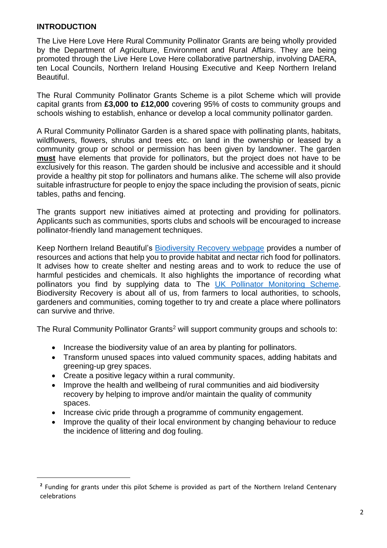### **INTRODUCTION**

 $\overline{a}$ 

The Live Here Love Here Rural Community Pollinator Grants are being wholly provided by the Department of Agriculture, Environment and Rural Affairs. They are being promoted through the Live Here Love Here collaborative partnership, involving DAERA, ten Local Councils, Northern Ireland Housing Executive and Keep Northern Ireland Beautiful.

The Rural Community Pollinator Grants Scheme is a pilot Scheme which will provide capital grants from **£3,000 to £12,000** covering 95% of costs to community groups and schools wishing to establish, enhance or develop a local community pollinator garden.

A Rural Community Pollinator Garden is a shared space with pollinating plants, habitats, wildflowers, flowers, shrubs and trees etc. on land in the ownership or leased by a community group or school or permission has been given by landowner. The garden **must** have elements that provide for pollinators, but the project does not have to be exclusively for this reason. The garden should be inclusive and accessible and it should provide a healthy pit stop for pollinators and humans alike. The scheme will also provide suitable infrastructure for people to enjoy the space including the provision of seats, picnic tables, paths and fencing.

The grants support new initiatives aimed at protecting and providing for pollinators. Applicants such as communities, sports clubs and schools will be encouraged to increase pollinator-friendly land management techniques.

Keep Northern Ireland Beautiful's [Biodiversity Recovery webpage](https://keepnorthernirelandbeautiful.etinu.net/cgi-bin/generic?instanceID=70) provides a number of resources and actions that help you to provide habitat and nectar rich food for pollinators. It advises how to create shelter and nesting areas and to work to reduce the use of harmful pesticides and chemicals. It also highlights the importance of recording what pollinators you find by supplying data to The [UK Pollinator Monitoring Scheme.](https://ukpoms.org.uk/home) Biodiversity Recovery is about all of us, from farmers to local authorities, to schools, gardeners and communities, coming together to try and create a place where pollinators can survive and thrive.

The Rural Community Pollinator Grants<sup>2</sup> will support community groups and schools to:

- Increase the biodiversity value of an area by planting for pollinators.
- Transform unused spaces into valued community spaces, adding habitats and greening-up grey spaces.
- Create a positive legacy within a rural community.
- Improve the health and wellbeing of rural communities and aid biodiversity recovery by helping to improve and/or maintain the quality of community spaces.
- Increase civic pride through a programme of community engagement.
- Improve the quality of their local environment by changing behaviour to reduce the incidence of littering and dog fouling.

<sup>&</sup>lt;sup>2</sup> Funding for grants under this pilot Scheme is provided as part of the Northern Ireland Centenary celebrations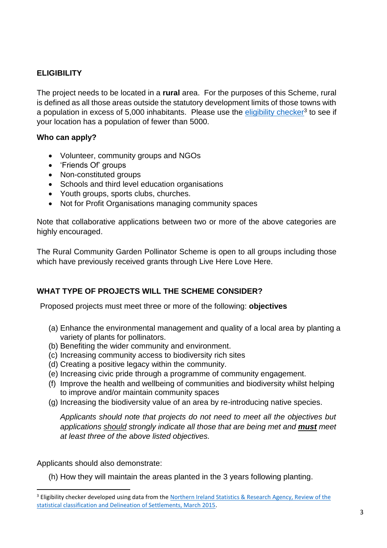# **ELIGIBILITY**

The project needs to be located in a **rural** area. For the purposes of this Scheme, rural is defined as all those areas outside the statutory development limits of those towns with a population in excess of 5,000 inhabitants. Please use the **eligibility checker<sup>3</sup> to see if** your location has a population of fewer than 5000.

# **Who can apply?**

- Volunteer, community groups and NGOs
- 'Friends Of' groups
- Non-constituted groups
- Schools and third level education organisations
- Youth groups, sports clubs, churches.
- Not for Profit Organisations managing community spaces

Note that collaborative applications between two or more of the above categories are highly encouraged.

The Rural Community Garden Pollinator Scheme is open to all groups including those which have previously received grants through Live Here Love Here.

# **WHAT TYPE OF PROJECTS WILL THE SCHEME CONSIDER?**

Proposed projects must meet three or more of the following: **objectives**

- (a) Enhance the environmental management and quality of a local area by planting a variety of plants for pollinators.
- (b) Benefiting the wider community and environment.
- (c) Increasing community access to biodiversity rich sites
- (d) Creating a positive legacy within the community.
- (e) Increasing civic pride through a programme of community engagement.
- (f) Improve the health and wellbeing of communities and biodiversity whilst helping to improve and/or maintain community spaces
- (g) Increasing the biodiversity value of an area by re-introducing native species.

*Applicants should note that projects do not need to meet all the objectives but applications should strongly indicate all those that are being met and must meet at least three of the above listed objectives.*

Applicants should also demonstrate:

 $\overline{\phantom{a}}$ 

(h) How they will maintain the areas planted in the 3 years following planting.

<sup>&</sup>lt;sup>3</sup> Eligibility checker developed using data from the Northern Ireland Statistics & Research Agency, Review of the [statistical classification and Delineation of Settlements, March 2015.](https://www.nisra.gov.uk/sites/nisra.gov.uk/files/publications/review-of-the-statistical-classification-and-delineation-of-settlements-march-2015.pdf)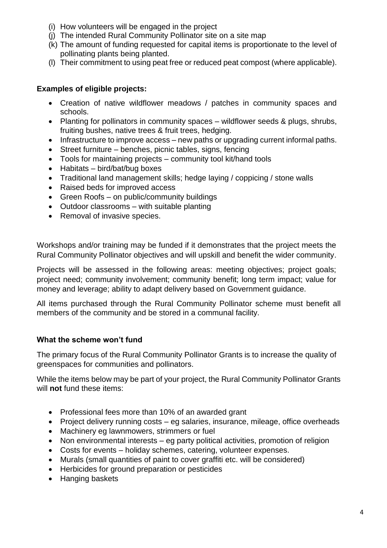- (i) How volunteers will be engaged in the project
- (j) The intended Rural Community Pollinator site on a site map
- (k) The amount of funding requested for capital items is proportionate to the level of pollinating plants being planted.
- (l) Their commitment to using peat free or reduced peat compost (where applicable).

# **Examples of eligible projects:**

- Creation of native wildflower meadows / patches in community spaces and schools.
- Planting for pollinators in community spaces wildflower seeds & plugs, shrubs, fruiting bushes, native trees & fruit trees, hedging.
- Infrastructure to improve access new paths or upgrading current informal paths.
- Street furniture benches, picnic tables, signs, fencing
- Tools for maintaining projects community tool kit/hand tools
- Habitats bird/bat/bug boxes
- Traditional land management skills; hedge laying / coppicing / stone walls
- Raised beds for improved access
- Green Roofs on public/community buildings
- Outdoor classrooms with suitable planting
- Removal of invasive species.

Workshops and/or training may be funded if it demonstrates that the project meets the Rural Community Pollinator objectives and will upskill and benefit the wider community.

Projects will be assessed in the following areas: meeting objectives; project goals; project need; community involvement; community benefit; long term impact; value for money and leverage; ability to adapt delivery based on Government guidance.

All items purchased through the Rural Community Pollinator scheme must benefit all members of the community and be stored in a communal facility.

# **What the scheme won't fund**

The primary focus of the Rural Community Pollinator Grants is to increase the quality of greenspaces for communities and pollinators.

While the items below may be part of your project, the Rural Community Pollinator Grants will **not** fund these items:

- Professional fees more than 10% of an awarded grant
- Project delivery running costs eg salaries, insurance, mileage, office overheads
- Machinery eg lawnmowers, strimmers or fuel
- Non environmental interests eg party political activities, promotion of religion
- Costs for events holiday schemes, catering, volunteer expenses.
- Murals (small quantities of paint to cover graffiti etc. will be considered)
- Herbicides for ground preparation or pesticides
- Hanging baskets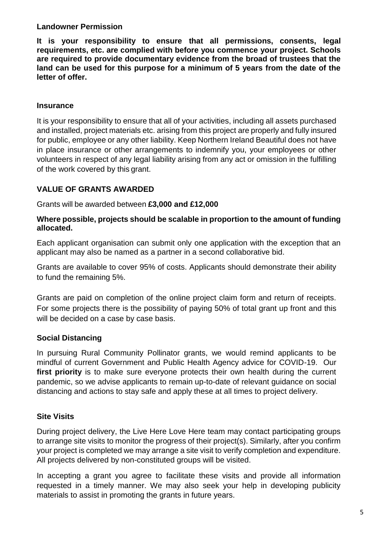#### **Landowner Permission**

**It is your responsibility to ensure that all permissions, consents, legal requirements, etc. are complied with before you commence your project. Schools are required to provide documentary evidence from the broad of trustees that the land can be used for this purpose for a minimum of 5 years from the date of the letter of offer.**

### **Insurance**

It is your responsibility to ensure that all of your activities, including all assets purchased and installed, project materials etc. arising from this project are properly and fully insured for public, employee or any other liability. Keep Northern Ireland Beautiful does not have in place insurance or other arrangements to indemnify you, your employees or other volunteers in respect of any legal liability arising from any act or omission in the fulfilling of the work covered by this grant.

# **VALUE OF GRANTS AWARDED**

Grants will be awarded between **£3,000 and £12,000**

#### **Where possible, projects should be scalable in proportion to the amount of funding allocated.**

Each applicant organisation can submit only one application with the exception that an applicant may also be named as a partner in a second collaborative bid.

Grants are available to cover 95% of costs. Applicants should demonstrate their ability to fund the remaining 5%.

Grants are paid on completion of the online project claim form and return of receipts. For some projects there is the possibility of paying 50% of total grant up front and this will be decided on a case by case basis.

# **Social Distancing**

In pursuing Rural Community Pollinator grants, we would remind applicants to be mindful of current Government and Public Health Agency advice for COVID-19. Our first priority is to make sure everyone protects their own health during the current pandemic, so we advise applicants to remain up-to-date of relevant guidance on social distancing and actions to stay safe and apply these at all times to project delivery.

# **Site Visits**

During project delivery, the Live Here Love Here team may contact participating groups to arrange site visits to monitor the progress of their project(s). Similarly, after you confirm your project is completed we may arrange a site visit to verify completion and expenditure. All projects delivered by non-constituted groups will be visited.

In accepting a grant you agree to facilitate these visits and provide all information requested in a timely manner. We may also seek your help in developing publicity materials to assist in promoting the grants in future years.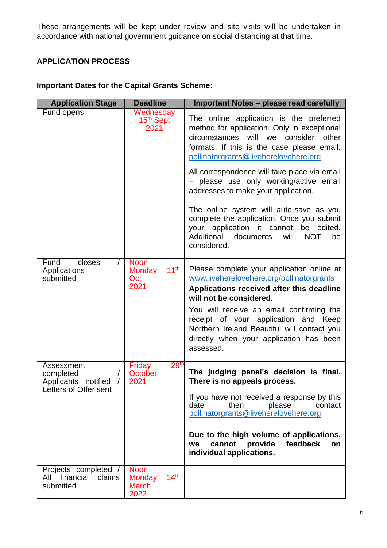These arrangements will be kept under review and site visits will be undertaken in accordance with national government guidance on social distancing at that time.

# **APPLICATION PROCESS**

# **Important Dates for the Capital Grants Scheme:**

| <b>Application Stage</b>                                                              | <b>Deadline</b>                                                          | <b>Important Notes - please read carefully</b>                                                                                                                                                                                                                                                                                                             |
|---------------------------------------------------------------------------------------|--------------------------------------------------------------------------|------------------------------------------------------------------------------------------------------------------------------------------------------------------------------------------------------------------------------------------------------------------------------------------------------------------------------------------------------------|
| Fund opens                                                                            | Wednesday<br>15th Sept<br>2021                                           | The online application is the preferred<br>method for application. Only in exceptional<br>will we<br>consider<br>circumstances<br>other<br>formats. If this is the case please email:<br>pollinatorgrants@liveherelovehere.org                                                                                                                             |
|                                                                                       |                                                                          | All correspondence will take place via email<br>- please use only working/active email<br>addresses to make your application.                                                                                                                                                                                                                              |
|                                                                                       |                                                                          | The online system will auto-save as you<br>complete the application. Once you submit<br>your application it cannot be edited.<br>Additional<br>documents<br>will<br><b>NOT</b><br>be<br>considered.                                                                                                                                                        |
| closes<br>Fund<br>Applications<br>submitted                                           | <b>Noon</b><br>11 <sup>th</sup><br><b>Monday</b><br>Oct<br>2021          | Please complete your application online at<br>www.liveherelovehere.org/pollinatorgrants<br>Applications received after this deadline<br>will not be considered.<br>You will receive an email confirming the<br>receipt of your application and Keep<br>Northern Ireland Beautiful will contact you<br>directly when your application has been<br>assessed. |
| Assessment<br>completed<br>Applicants notified<br>$\sqrt{ }$<br>Letters of Offer sent | 29 <sup>th</sup><br>Friday<br>October<br>2021                            | The judging panel's decision is final.<br>There is no appeals process.                                                                                                                                                                                                                                                                                     |
|                                                                                       |                                                                          | If you have not received a response by this<br>date<br>please<br>then<br>contact<br>pollinatorgrants@liveherelovehere.org                                                                                                                                                                                                                                  |
|                                                                                       |                                                                          | Due to the high volume of applications,<br>provide<br>feedback<br>cannot<br>on<br>we<br>individual applications.                                                                                                                                                                                                                                           |
| Projects completed /<br>financial<br>claims<br>All<br>submitted                       | <b>Noon</b><br>14 <sup>th</sup><br><b>Monday</b><br><b>March</b><br>2022 |                                                                                                                                                                                                                                                                                                                                                            |